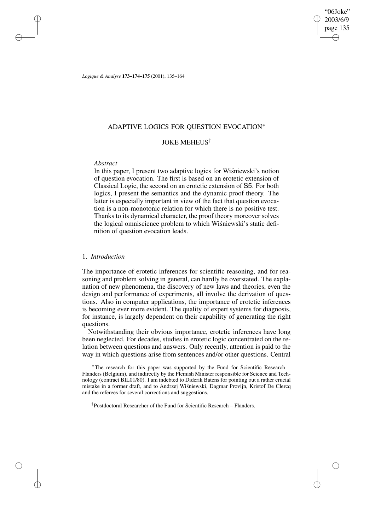"06Joke" 2003/6/9 page 135 ✐ ✐

✐

✐

*Logique & Analyse* **173–174–175** (2001), 135–164

## ADAPTIVE LOGICS FOR QUESTION EVOCATION<sup>∗</sup>

## JOKE MEHEUS†

# *Abstract*

✐

✐

✐

✐

In this paper, I present two adaptive logics for Wisniewski's notion of question evocation. The first is based on an erotetic extension of Classical Logic, the second on an erotetic extension of S5. For both logics, I present the semantics and the dynamic proof theory. The latter is especially important in view of the fact that question evocation is a non-monotonic relation for which there is no positive test. Thanks to its dynamical character, the proof theory moreover solves the logical omniscience problem to which Wiśniewski's static definition of question evocation leads.

## 1. *Introduction*

The importance of erotetic inferences for scientific reasoning, and for reasoning and problem solving in general, can hardly be overstated. The explanation of new phenomena, the discovery of new laws and theories, even the design and performance of experiments, all involve the derivation of questions. Also in computer applications, the importance of erotetic inferences is becoming ever more evident. The quality of expert systems for diagnosis, for instance, is largely dependent on their capability of generating the right questions.

Notwithstanding their obvious importance, erotetic inferences have long been neglected. For decades, studies in erotetic logic concentrated on the relation between questions and answers. Only recently, attention is paid to the way in which questions arise from sentences and/or other questions. Central

<sup>∗</sup>The research for this paper was supported by the Fund for Scientific Research— Flanders (Belgium), and indirectly by the Flemish Minister responsible for Science and Technology (contract BIL01/80). I am indebted to Diderik Batens for pointing out a rather crucial mistake in a former draft, and to Andrzej Wiśniewski, Dagmar Provijn, Kristof De Clercq and the referees for several corrections and suggestions.

† Postdoctoral Researcher of the Fund for Scientific Research – Flanders.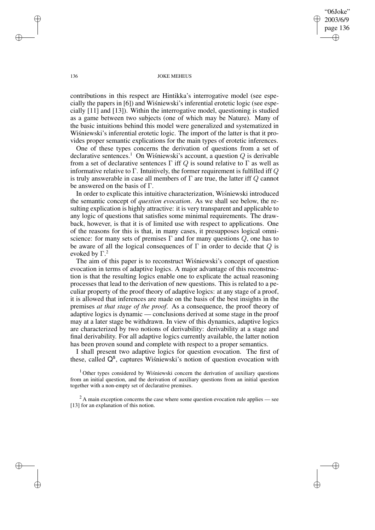"06Joke" 2003/6/9 page 136 ✐ ✐

✐

✐

### 136 JOKE MEHEUS

contributions in this respect are Hintikka's interrogative model (see especially the papers in  $[6]$ ) and Wisniewski's inferential erotetic logic (see especially [11] and [13]). Within the interrogative model, questioning is studied as a game between two subjects (one of which may be Nature). Many of the basic intuitions behind this model were generalized and systematized in Wiśniewski's inferential erotetic logic. The import of the latter is that it provides proper semantic explications for the main types of erotetic inferences.

One of these types concerns the derivation of questions from a set of declarative sentences.<sup>1</sup> On Wisniewski's account, a question  $Q$  is derivable from a set of declarative sentences  $\Gamma$  iff Q is sound relative to  $\Gamma$  as well as informative relative to Γ. Intuitively, the former requirement is fulfilled iff  $Q$ is truly answerable in case all members of  $\Gamma$  are true, the latter iff  $Q$  cannot be answered on the basis of Γ.

In order to explicate this intuitive characterization, Wisniewski introduced the semantic concept of *question evocation*. As we shall see below, the resulting explication is highly attractive: it is very transparent and applicable to any logic of questions that satisfies some minimal requirements. The drawback, however, is that it is of limited use with respect to applications. One of the reasons for this is that, in many cases, it presupposes logical omniscience: for many sets of premises  $\Gamma$  and for many questions  $Q$ , one has to be aware of all the logical consequences of  $\Gamma$  in order to decide that  $Q$  is evoked by  $\Gamma$ .<sup>2</sup>

The aim of this paper is to reconstruct Wisniewski's concept of question evocation in terms of adaptive logics. A major advantage of this reconstruction is that the resulting logics enable one to explicate the actual reasoning processes that lead to the derivation of new questions. This is related to a peculiar property of the proof theory of adaptive logics: at any stage of a proof, it is allowed that inferences are made on the basis of the best insights in the premises *at that stage of the proof*. As a consequence, the proof theory of adaptive logics is dynamic — conclusions derived at some stage in the proof may at a later stage be withdrawn. In view of this dynamics, adaptive logics are characterized by two notions of derivability: derivability at a stage and final derivability. For all adaptive logics currently available, the latter notion has been proven sound and complete with respect to a proper semantics.

I shall present two adaptive logics for question evocation. The first of these, called  $Q^s$ , captures Wisniewski's notion of question evocation with

 $1$  Other types considered by Wisniewski concern the derivation of auxiliary questions from an initial question, and the derivation of auxiliary questions from an initial question together with a non-empty set of declarative premises.

 $^{2}$  A main exception concerns the case where some question evocation rule applies — see [13] for an explanation of this notion.

✐

✐

✐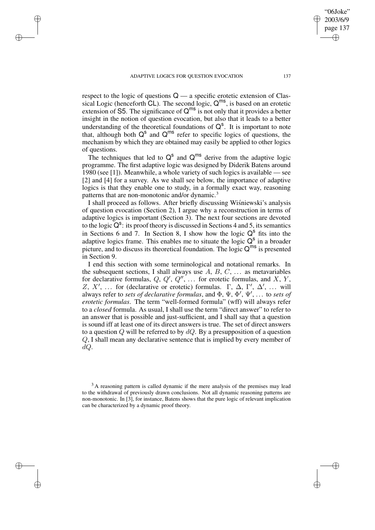✐

✐

✐

of questions.

respect to the logic of questions  $Q$  — a specific erotetic extension of Classical Logic (henceforth  $CL$ ). The second logic,  $Q^{ms}$ , is based on an erotetic extension of S5. The significance of  $Q^{ms}$  is not only that it provides a better insight in the notion of question evocation, but also that it leads to a better understanding of the theoretical foundations of  $Q^s$ . It is important to note that, although both  $Q^s$  and  $Q^{ms}$  refer to specific logics of questions, the mechanism by which they are obtained may easily be applied to other logics

The techniques that led to  $Q^s$  and  $Q^{ms}$  derive from the adaptive logic programme. The first adaptive logic was designed by Diderik Batens around 1980 (see [1]). Meanwhile, a whole variety of such logics is available — see [2] and [4] for a survey. As we shall see below, the importance of adaptive logics is that they enable one to study, in a formally exact way, reasoning patterns that are non-monotonic and/or dynamic.<sup>3</sup>

I shall proceed as follows. After briefly discussing Wisniewski's analysis of question evocation (Section 2), I argue why a reconstruction in terms of adaptive logics is important (Section 3). The next four sections are devoted to the logic  $Q^s$ : its proof theory is discussed in Sections 4 and 5, its semantics in Sections 6 and 7. In Section 8, I show how the logic  $Q^s$  fits into the adaptive logics frame. This enables me to situate the logic  $Q^s$  in a broader picture, and to discuss its theoretical foundation. The logic  $Q^{ms}$  is presented in Section 9.

I end this section with some terminological and notational remarks. In the subsequent sections, I shall always use  $A, B, C, \ldots$  as metavariables for declarative formulas,  $Q, Q', Q'', \ldots$  for erotetic formulas, and X, Y, Z, X', ... for (declarative or erotetic) formulas.  $\Gamma$ ,  $\Delta$ ,  $\Gamma'$ ,  $\Delta'$ , ... will always refer to *sets of declarative formulas*, and  $\Phi$ ,  $\Psi$ ,  $\Phi'$ ,  $\Psi'$ , ... to *sets of erotetic formulas*. The term "well-formed formula" (wff) will always refer to a *closed* formula. As usual, I shall use the term "direct answer" to refer to an answer that is possible and just-sufficient, and I shall say that a question is sound iff at least one of its direct answers is true. The set of direct answers to a question Q will be referred to by  $dQ$ . By a presupposition of a question Q, I shall mean any declarative sentence that is implied by every member of dQ.

"06Joke" 2003/6/9 page 137

✐

✐

✐

<sup>&</sup>lt;sup>3</sup>A reasoning pattern is called dynamic if the mere analysis of the premises may lead to the withdrawal of previously drawn conclusions. Not all dynamic reasoning patterns are non-monotonic. In [3], for instance, Batens shows that the pure logic of relevant implication can be characterized by a dynamic proof theory.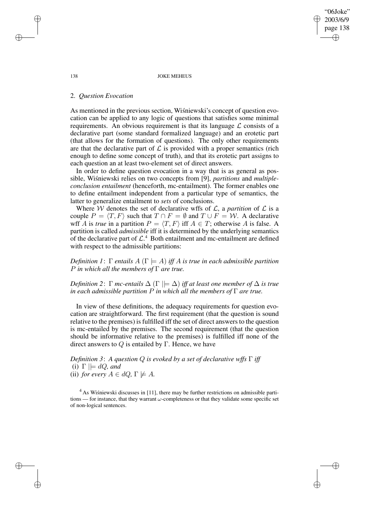138 JOKE MEHEUS

"06Joke" 2003/6/9 page 138

✐

✐

✐

✐

## 2. *Question Evocation*

As mentioned in the previous section, Wisniewski's concept of question evocation can be applied to any logic of questions that satisfies some minimal requirements. An obvious requirement is that its language  $\mathcal L$  consists of a declarative part (some standard formalized language) and an erotetic part (that allows for the formation of questions). The only other requirements are that the declarative part of  $\mathcal L$  is provided with a proper semantics (rich enough to define some concept of truth), and that its erotetic part assigns to each question an at least two-element set of direct answers.

In order to define question evocation in a way that is as general as possible, Wiśniewski relies on two concepts from [9], *partitions* and *multipleconclusion entailment* (henceforth, mc-entailment). The former enables one to define entailment independent from a particular type of semantics, the latter to generalize entailment to *sets* of conclusions.

Where W denotes the set of declarative wffs of  $\mathcal{L}$ , a *partition* of  $\mathcal{L}$  is a couple  $P = \langle T, F \rangle$  such that  $T \cap F = \emptyset$  and  $T \cup F = \mathcal{W}$ . A declarative wff A is *true* in a partition  $P = \langle T, F \rangle$  iff  $A \in T$ ; otherwise A is false. A partition is called *admissible* iff it is determined by the underlying semantics of the declarative part of  $\mathcal{L}^4$ . Both entailment and mc-entailment are defined with respect to the admissible partitions:

*Definition* 1:  $\Gamma$  *entails*  $A(\Gamma \models A)$  *iff* A *is true in each admissible partition* P *in which all the members of* Γ *are true.*

*Definition* 2:  $\Gamma$  *mc-entails*  $\Delta$  ( $\Gamma$   $\models \Delta$ ) *iff at least one member of*  $\Delta$  *is true in each admissible partition* P *in which all the members of* Γ *are true.*

In view of these definitions, the adequacy requirements for question evocation are straightforward. The first requirement (that the question is sound relative to the premises) is fulfilled iff the set of direct answers to the question is mc-entailed by the premises. The second requirement (that the question should be informative relative to the premises) is fulfilled iff none of the direct answers to Q is entailed by Γ. Hence, we have

*Definition 3*: *A question* Q *is evoked by a set of declarative wffs* Γ *iff* (i)  $\Gamma \models dQ$ *, and* (ii) *for every*  $A \in dQ$ ,  $\Gamma \not\models A$ *.* 

 $<sup>4</sup>$  As Wisniewski discusses in [11], there may be further restrictions on admissible parti-</sup> tions — for instance, that they warrant  $\omega$ -completeness or that they validate some specific set of non-logical sentences.

✐

✐

✐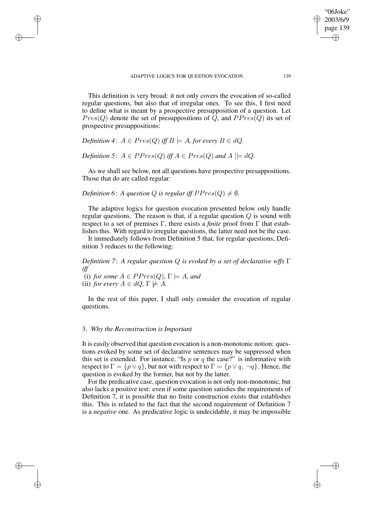This definition is very broad: it not only covers the evocation of so-called regular questions, but also that of irregular ones. To see this, I first need to define what is meant by a prospective presupposition of a question. Let  $Pres(Q)$  denote the set of presuppositions of Q, and  $PPres(Q)$  its set of prospective presuppositions:

*Definition* 4:  $A \in Pres(Q)$  *iff*  $B \models A$ *, for every*  $B \in dQ$ *.* 

✐

✐

✐

✐

*Definition* 5:  $A \in PPres(Q)$  *iff*  $A \in Pres(Q)$  *and*  $A \mid \models dQ$ .

As we shall see below, not all questions have prospective presuppositions. Those that do are called regular:

*Definition* 6: *A question Q is regular iff*  $PPres(Q) \neq \emptyset$ *.* 

The adaptive logics for question evocation presented below only handle regular questions. The reason is that, if a regular question  $Q$  is sound with respect to a set of premises Γ, there exists a *finite* proof from Γ that establishes this. With regard to irregular questions, the latter need not be the case.

It immediately follows from Definition 5 that, for regular questions, Definition 3 reduces to the following:

*Definition 7*: *A regular question* Q *is evoked by a set of declarative wffs* Γ *iff*

(i) *for some*  $A \in PPres(Q)$ ,  $\Gamma \models A$ *, and* (ii) *for every*  $A \in dQ$ ,  $\Gamma \not\models A$ *.* 

In the rest of this paper, I shall only consider the evocation of regular questions.

## 3. *Why the Reconstruction is Important*

It is easily observed that question evocation is a non-monotonic notion: questions evoked by some set of declarative sentences may be suppressed when this set is extended. For instance, "Is  $p$  or  $q$  the case?" is informative with respect to  $\Gamma = \{p \lor q\}$ , but not with respect to  $\Gamma = \{p \lor q, \neg q\}$ . Hence, the question is evoked by the former, but not by the latter.

For the predicative case, question evocation is not only non-monotonic, but also lacks a positive test: even if some question satisfies the requirements of Definition 7, it is possible that no finite construction exists that establishes this. This is related to the fact that the second requirement of Definition 7 is a *negative* one. As predicative logic is undecidable, it may be impossible

"06Joke" 2003/6/9 page 139

✐

✐

✐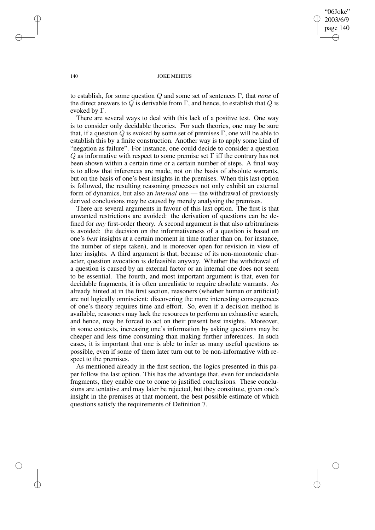"06Joke" 2003/6/9 page 140 ✐ ✐

✐

✐

### 140 JOKE MEHEUS

to establish, for some question Q and some set of sentences Γ, that *none* of the direct answers to  $\overline{Q}$  is derivable from  $\Gamma$ , and hence, to establish that  $\overline{Q}$  is evoked by Γ.

There are several ways to deal with this lack of a positive test. One way is to consider only decidable theories. For such theories, one may be sure that, if a question  $Q$  is evoked by some set of premises  $\Gamma$ , one will be able to establish this by a finite construction. Another way is to apply some kind of "negation as failure". For instance, one could decide to consider a question  $Q$  as informative with respect to some premise set  $\Gamma$  iff the contrary has not been shown within a certain time or a certain number of steps. A final way is to allow that inferences are made, not on the basis of absolute warrants, but on the basis of one's best insights in the premises. When this last option is followed, the resulting reasoning processes not only exhibit an external form of dynamics, but also an *internal* one — the withdrawal of previously derived conclusions may be caused by merely analysing the premises.

There are several arguments in favour of this last option. The first is that unwanted restrictions are avoided: the derivation of questions can be defined for *any* first-order theory. A second argument is that also arbitrariness is avoided: the decision on the informativeness of a question is based on one's *best* insights at a certain moment in time (rather than on, for instance, the number of steps taken), and is moreover open for revision in view of later insights. A third argument is that, because of its non-monotonic character, question evocation is defeasible anyway. Whether the withdrawal of a question is caused by an external factor or an internal one does not seem to be essential. The fourth, and most important argument is that, even for decidable fragments, it is often unrealistic to require absolute warrants. As already hinted at in the first section, reasoners (whether human or artificial) are not logically omniscient: discovering the more interesting consequences of one's theory requires time and effort. So, even if a decision method is available, reasoners may lack the resources to perform an exhaustive search, and hence, may be forced to act on their present best insights. Moreover, in some contexts, increasing one's information by asking questions may be cheaper and less time consuming than making further inferences. In such cases, it is important that one is able to infer as many useful questions as possible, even if some of them later turn out to be non-informative with respect to the premises.

As mentioned already in the first section, the logics presented in this paper follow the last option. This has the advantage that, even for undecidable fragments, they enable one to come to justified conclusions. These conclusions are tentative and may later be rejected, but they constitute, given one's insight in the premises at that moment, the best possible estimate of which questions satisfy the requirements of Definition 7.

✐

✐

✐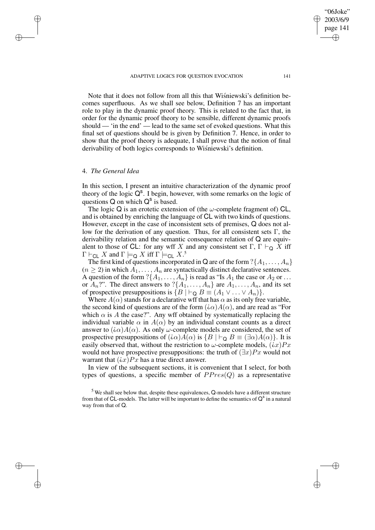### ADAPTIVE LOGICS FOR OUESTION EVOCATION 141

Note that it does not follow from all this that Wisniewski's definition becomes superfluous. As we shall see below, Definition 7 has an important role to play in the dynamic proof theory. This is related to the fact that, in order for the dynamic proof theory to be sensible, different dynamic proofs should — 'in the end' — lead to the same set of evoked questions. What this final set of questions should be is given by Definition 7. Hence, in order to show that the proof theory is adequate, I shall prove that the notion of final derivability of both logics corresponds to Wiśniewski's definition.

### 4. *The General Idea*

✐

✐

✐

✐

In this section, I present an intuitive characterization of the dynamic proof theory of the logic  $Q^s$ . I begin, however, with some remarks on the logic of questions  $Q$  on which  $Q^s$  is based.

The logic Q is an erotetic extension of (the  $\omega$ -complete fragment of) CL, and is obtained by enriching the language of CL with two kinds of questions. However, except in the case of inconsistent sets of premises, Q does not allow for the derivation of any question. Thus, for all consistent sets  $\Gamma$ , the derivability relation and the semantic consequence relation of Q are equivalent to those of CL: for any wff X and any consistent set  $\Gamma$ ,  $\Gamma \vdash_Q X$  iff  $\Gamma \vdash_{\mathsf{CL}} X$  and  $\Gamma \models_{\mathsf{Q}} X$  iff  $\Gamma \models_{\mathsf{CL}} X$ .<sup>5</sup>

The first kind of questions incorporated in Q are of the form  $?\{A_1, \ldots, A_n\}$  $(n \geq 2)$  in which  $A_1, \ldots, A_n$  are syntactically distinct declarative sentences. A question of the form  $?\{A_1, \ldots, A_n\}$  is read as "Is  $A_1$  the case or  $A_2$  or ... or  $A_n$ ?". The direct answers to  $?\{A_1, \ldots, A_n\}$  are  $A_1, \ldots, A_n$ , and its set of prospective presuppositions is  $\{B \mid \vdash_{\mathbf{Q}} B \equiv (A_1 \vee \ldots \vee A_n)\}.$ 

Where  $A(\alpha)$  stands for a declarative wff that has  $\alpha$  as its only free variable, the second kind of questions are of the form  $(i\alpha)A(\alpha)$ , and are read as "For which  $\alpha$  is A the case?". Any wff obtained by systematically replacing the individual variable  $\alpha$  in  $A(\alpha)$  by an individual constant counts as a direct answer to  $(i\alpha)A(\alpha)$ . As only  $\omega$ -complete models are considered, the set of prospective presuppositions of  $(i\alpha)A(\alpha)$  is  $\{B \mid \vdash_{\mathbf{Q}} B \equiv (\exists \alpha)A(\alpha)\}\.$  It is easily observed that, without the restriction to  $\omega$ -complete models,  $(ix)Px$ would not have prospective presuppositions: the truth of  $(\exists x)Px$  would not warrant that  $(ix)Px$  has a true direct answer.

In view of the subsequent sections, it is convenient that I select, for both types of questions, a specific member of  $PPres(Q)$  as a representative

✐

<sup>&</sup>lt;sup>5</sup> We shall see below that, despite these equivalences, Q-models have a different structure from that of CL-models. The latter will be important to define the semantics of  $Q^s$  in a natural way from that of Q.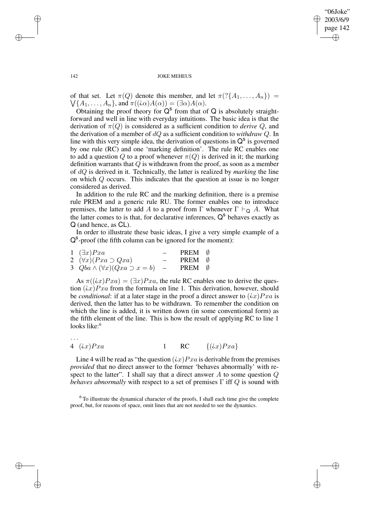✐

### 142 JOKE MEHEUS

of that set. Let  $\pi(Q)$  denote this member, and let  $\pi(\mathcal{P}\lbrace A_1,\ldots,A_n\rbrace)$  =  $\bigvee$ { $A_1, \ldots, A_n$ }, and  $\pi((\iota \alpha)A(\alpha)) = (\exists \alpha)A(\alpha)$ .

Obtaining the proof theory for  $Q^s$  from that of  $Q$  is absolutely straightforward and well in line with everyday intuitions. The basic idea is that the derivation of  $\pi(Q)$  is considered as a sufficient condition to *derive* Q, and the derivation of a member of dQ as a sufficient condition to *withdraw* Q. In line with this very simple idea, the derivation of questions in  $Q^s$  is governed by one rule (RC) and one 'marking definition'. The rule RC enables one to add a question Q to a proof whenever  $\pi(Q)$  is derived in it; the marking definition warrants that  $Q$  is withdrawn from the proof, as soon as a member of dQ is derived in it. Technically, the latter is realized by *marking* the line on which Q occurs. This indicates that the question at issue is no longer considered as derived.

In addition to the rule RC and the marking definition, there is a premise rule PREM and a generic rule RU. The former enables one to introduce premises, the latter to add A to a proof from  $\Gamma$  whenever  $\Gamma \vdash_{\Omega} A$ . What the latter comes to is that, for declarative inferences,  $Q^s$  behaves exactly as Q (and hence, as CL).

In order to illustrate these basic ideas, I give a very simple example of a Q<sup>s</sup>-proof (the fifth column can be ignored for the moment):

| $1 \quad (\exists x)Pxa$                      | PREM 0 |  |
|-----------------------------------------------|--------|--|
| 2 $(\forall x)(Pxa \supset Qxa)$              | PREM 0 |  |
| 3 $Qba \wedge (\forall x)(Qxa \supset x = b)$ | PREM 0 |  |

As  $\pi((ix)Pxa) = (\exists x)Pxa$ , the rule RC enables one to derive the question  $(ix)Pxa$  from the formula on line 1. This derivation, however, should be *conditional*: if at a later stage in the proof a direct answer to  $(ix)Pxa$  is derived, then the latter has to be withdrawn. To remember the condition on which the line is added, it is written down (in some conventional form) as the fifth element of the line. This is how the result of applying RC to line 1 looks like:<sup>6</sup>

· · ·

4  $(ix)Pxa$  1 RC  $\{(ix)Pxa\}$ 

Line 4 will be read as "the question  $(ix)Pxa$  is derivable from the premises *provided* that no direct answer to the former 'behaves abnormally' with respect to the latter". I shall say that a direct answer  $A$  to some question  $Q$ *behaves abnormally* with respect to a set of premises Γ iff Q is sound with

<sup>6</sup> To illustrate the dynamical character of the proofs, I shall each time give the complete proof, but, for reasons of space, omit lines that are not needed to see the dynamics.

✐

✐

✐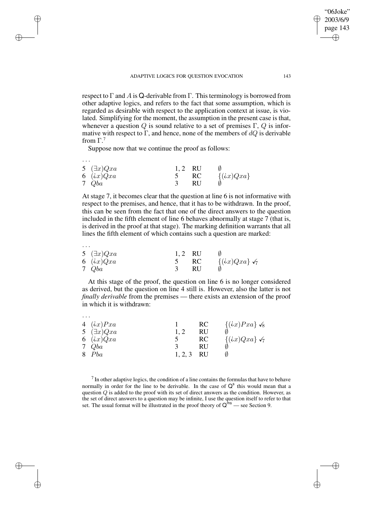respect to  $\Gamma$  and A is Q-derivable from  $\Gamma$ . This terminology is borrowed from other adaptive logics, and refers to the fact that some assumption, which is regarded as desirable with respect to the application context at issue, is violated. Simplifying for the moment, the assumption in the present case is that, whenever a question Q is sound relative to a set of premises  $\Gamma$ , Q is informative with respect to  $\Gamma$ , and hence, none of the members of  $dQ$  is derivable from  $\Gamma$ <sup>7</sup>

Suppose now that we continue the proof as follows:

✐

✐

✐

✐

| $\cdots$ |                    |           |     |               |
|----------|--------------------|-----------|-----|---------------|
|          | 5 $(\exists x)Qxa$ | $1, 2$ RU |     |               |
|          | 6 $(ix)Qxa$        |           | -RC | $\{(ix)Qxa\}$ |
|          | 7 Qba              |           | RU  |               |

At stage 7, it becomes clear that the question at line 6 is not informative with respect to the premises, and hence, that it has to be withdrawn. In the proof, this can be seen from the fact that one of the direct answers to the question included in the fifth element of line 6 behaves abnormally at stage 7 (that is, is derived in the proof at that stage). The marking definition warrants that all lines the fifth element of which contains such a question are marked:

| 5 $(\exists x)Qxa$ | 1.2 RU |      |                              |
|--------------------|--------|------|------------------------------|
| 6 $(ix)Qxa$        |        | – RC | $\{(ix)Qxa\}$ $\checkmark_7$ |
| 7 Qba              |        | -RU  |                              |

· · ·

· · ·

At this stage of the proof, the question on line 6 is no longer considered as derived, but the question on line 4 still is. However, also the latter is not *finally derivable* from the premises — there exists an extension of the proof in which it is withdrawn:

| 4 $(ix)Pxa$<br>5 $(\exists x)Qxa$<br>6 $(ix)Qxa$ | 1.2     | RC<br>RU<br>RC | $\{(ix)Pxa\}$ $\checkmark_8$<br>$\{(ix)Qxa\}$ $\checkmark_7$ |
|--------------------------------------------------|---------|----------------|--------------------------------------------------------------|
| 7 Qba                                            |         | RU             |                                                              |
| 8 Pba                                            | 1, 2, 3 | RU             |                                                              |

 $<sup>7</sup>$  In other adaptive logics, the condition of a line contains the formulas that have to behave</sup> normally in order for the line to be derivable. In the case of  $Q<sup>s</sup>$  this would mean that a question  $Q$  is added to the proof with its set of direct answers as the condition. However, as the set of direct answers to a question may be infinite, I use the question itself to refer to that set. The usual format will be illustrated in the proof theory of  $Q^{ins}$  — see Section 9.

"06Joke" 2003/6/9 page 143

✐

✐

✐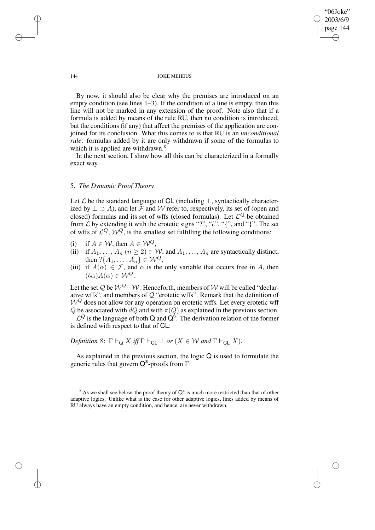"06Joke" 2003/6/9 page 144 ✐ ✐

✐

✐

### 144 JOKE MEHEUS

By now, it should also be clear why the premises are introduced on an empty condition (see lines 1–3). If the condition of a line is empty, then this line will not be marked in any extension of the proof. Note also that if a formula is added by means of the rule RU, then no condition is introduced, but the conditions (if any) that affect the premises of the application are conjoined for its conclusion. What this comes to is that RU is an *unconditional rule*: formulas added by it are only withdrawn if some of the formulas to which it is applied are withdrawn.<sup>8</sup>

In the next section, I show how all this can be characterized in a formally exact way.

## 5. *The Dynamic Proof Theory*

Let  $\mathcal L$  be the standard language of CL (including  $\perp$ , syntactically characterized by  $\perp \supset A$ ), and let F and W refer to, respectively, its set of (open and closed) formulas and its set of wffs (closed formulas). Let  $\mathcal{L}^Q$  be obtained from  $\mathcal L$  by extending it with the erotetic signs "?", " $\mathcal L$ ", "{", and "}". The set of wffs of  $\mathcal{L}^Q$ ,  $\mathcal{W}^Q$ , is the smallest set fulfilling the following conditions:

- (i) if  $A \in \mathcal{W}$ , then  $A \in \mathcal{W}^Q$ ,
- (ii) if  $A_1, ..., A_n$   $(n \ge 2) \in W$ , and  $A_1, ..., A_n$  are syntactically distinct, then  $?{A_1, \ldots, A_n} \in W^Q$ ,
- (iii) if  $A(\alpha) \in \mathcal{F}$ , and  $\alpha$  is the only variable that occurs free in A, then  $(i\alpha)A(\alpha) \in W^Q$ .

Let the set Q be  $W^Q$  – W. Henceforth, members of W will be called "declarative wffs", and members of Q "erotetic wffs". Remark that the definition of  $W^Q$  does not allow for any operation on erotetic wffs. Let every erotetic wff Q be associated with  $dQ$  and with  $\pi(Q)$  as explained in the previous section.

 $\mathcal{L}^Q$  is the language of both Q and  $\overline{Q}^s$ . The derivation relation of the former is defined with respect to that of CL:

*Definition* 8:  $\Gamma \vdash_{\mathsf{Q}} X$  *iff*  $\Gamma \vdash_{\mathsf{CL}} \bot$  *or* ( $X \in \mathcal{W}$  *and*  $\Gamma \vdash_{\mathsf{CL}} X$ *).* 

As explained in the previous section, the logic Q is used to formulate the generic rules that govern Q<sup>s</sup>-proofs from Γ:

 $8$  As we shall see below, the proof theory of  $Q^s$  is much more restricted than that of other adaptive logics. Unlike what is the case for other adaptive logics, lines added by means of RU always have an empty condition, and hence, are never withdrawn.

✐

✐

✐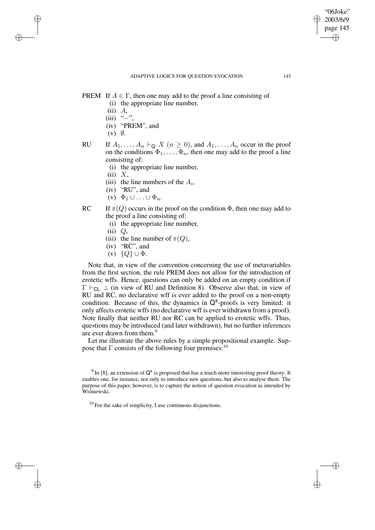✐

- PREM If  $A \in \Gamma$ , then one may add to the proof a line consisting of
	- (i) the appropriate line number,
	- $(ii)$   $A$ ,

✐

✐

✐

✐

- $(iii)$  "−"
- (iv) "PREM", and
- $(v)$   $\emptyset$ .
- RU If  $A_1, \ldots, A_n \vdash_{\mathsf{Q}} X$   $(n \geq 0)$ , and  $A_1, \ldots, A_n$  occur in the proof on the conditions  $\Phi_1, \ldots, \Phi_n$ , then one may add to the proof a line consisting of:
	- (i) the appropriate line number,
	- $(ii) X$ ,
	- (iii) the line numbers of the  $A_i$ ,
	- (iv) "RU", and
	- (v)  $\Phi_1 \cup \ldots \cup \Phi_n$ .
- RC If  $\pi(Q)$  occurs in the proof on the condition  $\Phi$ , then one may add to the proof a line consisting of:
	- (i) the appropriate line number,
	- $(ii)$   $Q$ ,
	- (iii) the line number of  $\pi(Q)$ ,
	- (iv) "RC", and
	- (v)  $\{Q\} \cup \Phi$ .

Note that, in view of the convention concerning the use of metavariables from the first section, the rule PREM does not allow for the introduction of erotetic wffs. Hence, questions can only be added on an empty condition if  $\Gamma \vdash_{\text{Cl}} \bot$  (in view of RU and Definition 8). Observe also that, in view of RU and RC, no declarative wff is ever added to the proof on a non-empty condition. Because of this, the dynamics in  $Q^s$ -proofs is very limited: it only affects erotetic wffs (no declarative wff is ever withdrawn from a proof). Note finally that neither RU nor RC can be applied to erotetic wffs. Thus, questions may be introduced (and later withdrawn), but no further inferences are ever drawn from them.<sup>9</sup>

Let me illustrate the above rules by a simple propositional example. Suppose that  $\Gamma$  consists of the following four premises:<sup>10</sup>

<sup>&</sup>lt;sup>9</sup> In [8], an extension of  $Q^s$  is proposed that has a much more interesting proof theory. It enables one, for instance, not only to introduce new questions, but also to analyse them. The purpose of this paper, however, is to capture the notion of question evocation as intended by Wiśniewski.

 $10$  For the sake of simplicity. I use continuous disjunctions.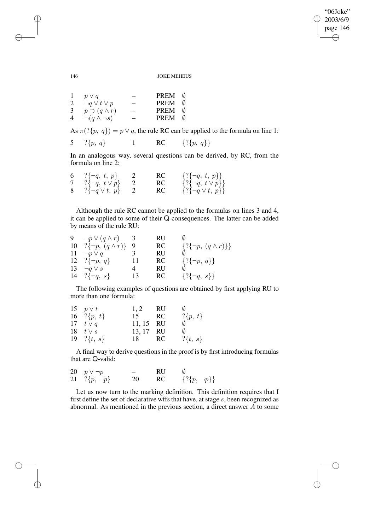$\bigoplus$ 

✐

### 146 JOKE MEHEUS

|   | $p \vee q$               |                          | <b>PREM</b> |   |
|---|--------------------------|--------------------------|-------------|---|
| 2 | $\neg q \vee t \vee p$   |                          | <b>PREM</b> |   |
| 3 | $p \supset (q \wedge r)$ | $\overline{\phantom{0}}$ | <b>PREM</b> | Ø |
|   | $\neg(q \wedge \neg s)$  |                          | PREM        |   |

As  $\pi$ (?{ $p, q$ }) =  $p \vee q$ , the rule RC can be applied to the formula on line 1:

5 
$$
\{p, q\}
$$
 1 RC  $\{\{p, q\}\}\$ 

In an analogous way, several questions can be derived, by RC, from the formula on line 2:

| 6 ?{ $\neg q, t, p$ }     | RC | $\{?\{\neg q, t, p\}\}\$     |
|---------------------------|----|------------------------------|
| 7 ?{ $\neg q, t \vee p$ } | RC | $\{?\{\neg q, t \vee p\}\}\$ |
| 8 ?{ $\neg q \lor t, p$ } | RC | $\{?\{\neg q \vee t, p\}\}\$ |

Although the rule RC cannot be applied to the formulas on lines 3 and 4, it can be applied to some of their Q-consequences. The latter can be added by means of the rule RU:

| 9. | $\neg p \vee (q \wedge r)$       |    | RU        |                                  |
|----|----------------------------------|----|-----------|----------------------------------|
|    | 10 ?{ $\neg p, (q \wedge r)$ } 9 |    | RC        | $\{?\{\neg p, (q \wedge r)\}\}\$ |
| 11 | $\neg p \vee q$                  |    | RU        |                                  |
|    | 12 ? $\{\neg p, q\}$             | 11 | <b>RC</b> | $\{?\{\neg p, q\}\}\$            |
| 13 | $\neg q \vee s$                  | 4  | RU        |                                  |
|    | 14 ? $\{\neg q, s\}$             | 13 | <b>RC</b> | $\{?\{\neg q, s\}\}\$            |

The following examples of questions are obtained by first applying RU to more than one formula:

| 15 $p \vee t$  | 1, 2 | RU  |                        |
|----------------|------|-----|------------------------|
| 16 ?{ $p, t$ } | 15   | RC  | $?\{p, t\}$            |
| 17 $t \vee q$  |      |     |                        |
| 18 $t \vee s$  |      |     |                        |
| 19 ?{ $t, s$ } | 18   | RC. | $? \{t, s\}$           |
|                |      |     | 11, 15 RU<br>13, 17 RU |

A final way to derive questions in the proof is by first introducing formulas that are Q-valid:

| 20 $p \vee \neg p$  |    | <b>RU</b> |                       |
|---------------------|----|-----------|-----------------------|
| 21 ?{ $p, \neg p$ } | 20 | RC        | $\{?\{p, \neg p\}\}\$ |

Let us now turn to the marking definition. This definition requires that I first define the set of declarative wffs that have, at stage s, been recognized as abnormal. As mentioned in the previous section, a direct answer A to some

✐

✐

✐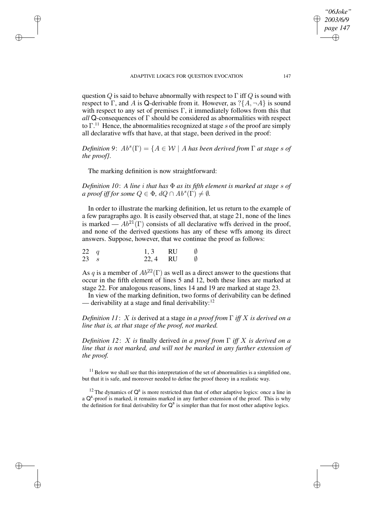question Q is said to behave abnormally with respect to  $\Gamma$  iff Q is sound with respect to Γ, and A is Q-derivable from it. However, as  $?\{A, \neg A\}$  is sound with respect to any set of premises  $\Gamma$ , it immediately follows from this that *all* Q-consequences of Γ should be considered as abnormalities with respect to  $\Gamma$ <sup>11</sup>. Hence, the abnormalities recognized at stage s of the proof are simply all declarative wffs that have, at that stage, been derived in the proof:

 $Definition 9: Ab<sup>s</sup>(\Gamma) = \{A \in \mathcal{W} \mid A \text{ has been derived from } \Gamma \text{ at stage } s \text{ of } \Gamma\}$ *the proof}.*

The marking definition is now straightforward:

✐

✐

✐

✐

*Definition 10*: *A line* i *that has* Φ *as its fifth element is marked at stage* s *of a proof iff for some*  $Q \in \Phi$ ,  $dQ \cap Ab^s(\tilde{\Gamma}) \neq \emptyset$ .

In order to illustrate the marking definition, let us return to the example of a few paragraphs ago. It is easily observed that, at stage 21, none of the lines is marked —  $Ab^{21}(\Gamma)$  consists of all declarative wffs derived in the proof, and none of the derived questions has any of these wffs among its direct answers. Suppose, however, that we continue the proof as follows:

| $22 \quad q$   | $1, 3$ RU | $\emptyset$ |
|----------------|-----------|-------------|
| $23 \text{ s}$ | 22, 4 RU  | Ø           |

As q is a member of  $Ab^{22}(\Gamma)$  as well as a direct answer to the questions that occur in the fifth element of lines 5 and 12, both these lines are marked at stage 22. For analogous reasons, lines 14 and 19 are marked at stage 23.

In view of the marking definition, two forms of derivability can be defined — derivability at a stage and final derivability:<sup>12</sup>

*Definition 11*: X *is* derived at a stage *in a proof from* Γ *iff* X *is derived on a line that is, at that stage of the proof, not marked.*

*Definition* 12: X *is* finally derived *in a proof* from  $\Gamma$  *iff* X *is derived on a line that is not marked, and will not be marked in any further extension of the proof.*

 $<sup>11</sup>$  Below we shall see that this interpretation of the set of abnormalities is a simplified one,</sup> but that it is safe, and moreover needed to define the proof theory in a realistic way.

<sup>12</sup> The dynamics of  $Q^s$  is more restricted than that of other adaptive logics: once a line in a Q<sup>s</sup>-proof is marked, it remains marked in any further extension of the proof. This is why the definition for final derivability for  $Q^s$  is simpler than that for most other adaptive logics.

*"06Joke" 2003/6/9 page 147*

✐

✐

✐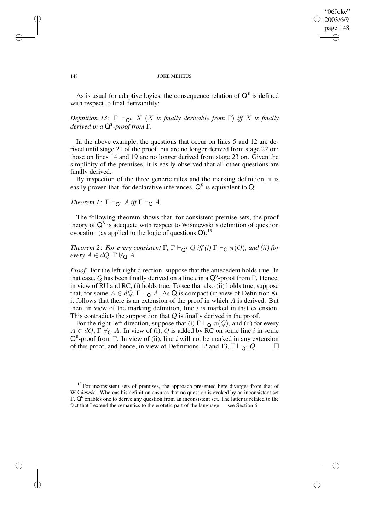✐

### 148 JOKE MEHEUS

As is usual for adaptive logics, the consequence relation of  $Q^s$  is defined with respect to final derivability:

*Definition* 13:  $\Gamma \vdash_{\mathsf{Q}^s} X$  (X *is finally derivable from*  $\Gamma$ ) *iff* X *is finally derived in a* Q s *-proof from* Γ*.*

In the above example, the questions that occur on lines 5 and 12 are derived until stage 21 of the proof, but are no longer derived from stage 22 on; those on lines 14 and 19 are no longer derived from stage 23 on. Given the simplicity of the premises, it is easily observed that all other questions are finally derived.

By inspection of the three generic rules and the marking definition, it is easily proven that, for declarative inferences,  $Q^s$  is equivalent to Q:

# *Theorem 1*:  $\Gamma \vdash_{\mathsf{Q}^{\mathsf{s}}} A$  *iff*  $\Gamma \vdash_{\mathsf{Q}} A$ *.*

The following theorem shows that, for consistent premise sets, the proof theory of  $Q^s$  is adequate with respect to Wisniewski's definition of question evocation (as applied to the logic of questions  $Q$ ):<sup>13</sup>

*Theorem* 2: *For every consistent*  $\Gamma$ ,  $\Gamma \vdash_{\mathsf{Q}^{\mathsf{S}}} Q$  *iff (i)*  $\Gamma \vdash_{\mathsf{Q}} \pi(Q)$ *, and (ii) for every*  $A \in dQ$ ,  $\Gamma \not\vdash_{\mathsf{Q}} A$ .

*Proof.* For the left-right direction, suppose that the antecedent holds true. In that case, Q has been finally derived on a line i in a  $\mathsf{Q}^s$ -proof from  $\Gamma$ . Hence, in view of RU and RC, (i) holds true. To see that also (ii) holds true, suppose that, for some  $A \in dQ$ ,  $\Gamma \vdash_{\mathsf{Q}} A$ . As Q is compact (in view of Definition 8), it follows that there is an extension of the proof in which  $A$  is derived. But then, in view of the marking definition, line  $i$  is marked in that extension. This contradicts the supposition that  $Q$  is finally derived in the proof.

For the right-left direction, suppose that (i)  $\Gamma \vdash_Q \pi(Q)$ , and (ii) for every  $A \in dQ$ ,  $\Gamma \not\vdash_{\mathsf{Q}} A$ . In view of (i), Q is added by RC on some line i in some  $Q^s$ -proof from Γ. In view of (ii), line i will not be marked in any extension of this proof, and hence, in view of Definitions 12 and 13,  $\Gamma \vdash_{\mathbf{Q}^{\mathbf{s}}} Q$ .  $\Box$ 

✐

✐

✐

 $13$  For inconsistent sets of premises, the approach presented here diverges from that of Wisniewski. Whereas his definition ensures that no question is evoked by an inconsistent set Γ, Q<sup>s</sup> enables one to derive any question from an inconsistent set. The latter is related to the fact that I extend the semantics to the erotetic part of the language — see Section 6.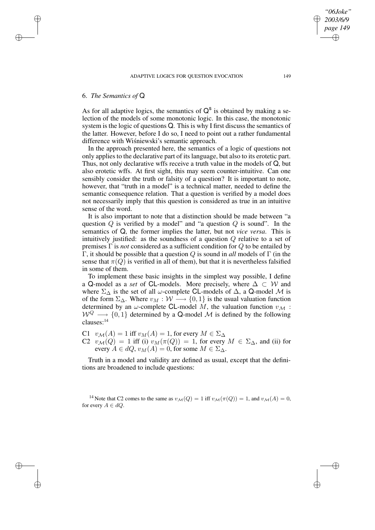## 6. *The Semantics of* Q

✐

✐

✐

✐

As for all adaptive logics, the semantics of  $Q^s$  is obtained by making a selection of the models of some monotonic logic. In this case, the monotonic system is the logic of questions Q. This is why I first discuss the semantics of the latter. However, before I do so, I need to point out a rather fundamental difference with Wisniewski's semantic approach.

In the approach presented here, the semantics of a logic of questions not only applies to the declarative part of its language, but also to its erotetic part. Thus, not only declarative wffs receive a truth value in the models of Q, but also erotetic wffs. At first sight, this may seem counter-intuitive. Can one sensibly consider the truth or falsity of a question? It is important to note, however, that "truth in a model" is a technical matter, needed to define the semantic consequence relation. That a question is verified by a model does not necessarily imply that this question is considered as true in an intuitive sense of the word.

It is also important to note that a distinction should be made between "a question  $Q$  is verified by a model" and "a question  $Q$  is sound". In the semantics of Q, the former implies the latter, but not *vice versa*. This is intuitively justified: as the soundness of a question Q relative to a set of premises Γ is *not* considered as a sufficient condition for Q to be entailed by Γ, it should be possible that a question Q is sound in *all* models of Γ (in the sense that  $\pi(Q)$  is verified in all of them), but that it is nevertheless falsified in some of them.

To implement these basic insights in the simplest way possible, I define a Q-model as a *set* of CL-models. More precisely, where  $\Delta \subset W$  and where  $\Sigma_{\Delta}$  is the set of all  $\omega$ -complete CL-models of  $\Delta$ , a Q-model M is of the form  $\Sigma_{\Delta}$ . Where  $v_M : W \longrightarrow \{0,1\}$  is the usual valuation function determined by an  $\omega$ -complete CL-model M, the valuation function  $v_M$ :  $W^Q \longrightarrow \{0, 1\}$  determined by a Q-model M is defined by the following clauses:<sup>14</sup>

C1  $v_{\mathcal{M}}(A) = 1$  iff  $v_M(A) = 1$ , for every  $M \in \Sigma_{\Delta}$ 

C2  $v_{\mathcal{M}}(Q) = 1$  iff (i)  $v_{M}(\pi(Q)) = 1$ , for every  $M \in \Sigma_{\Delta}$ , and (ii) for every  $A \in dQ$ ,  $v_M(A) = 0$ , for some  $M \in \Sigma_A$ .

Truth in a model and validity are defined as usual, except that the definitions are broadened to include questions:

<sup>14</sup> Note that C2 comes to the same as  $v_{\mathcal{M}}(Q) = 1$  iff  $v_{\mathcal{M}}(\pi(Q)) = 1$ , and  $v_{\mathcal{M}}(A) = 0$ , for every  $A \in dO$ .

*"06Joke" 2003/6/9 page 149*

✐

✐

✐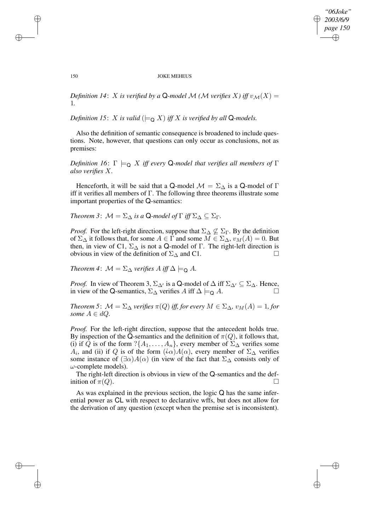*"06Joke" 2003/6/9 page 150* ✐ ✐

✐

✐

### 150 JOKE MEHEUS

*Definition* 14: X *is verified by a* Q-model M (M *verifies* X) *iff*  $v_M(X)$  = 1*.*

*Definition* 15: *X is valid* ( $\models Q X$ *) iff X is verified by all* Q-models.

Also the definition of semantic consequence is broadened to include questions. Note, however, that questions can only occur as conclusions, not as premises:

*Definition* 16:  $\Gamma \models_{\mathsf{Q}} X$  *iff every* **Q**-model that *verifies all members of*  $\Gamma$ *also verifies* X*.*

Henceforth, it will be said that a Q-model  $\mathcal{M} = \Sigma_{\Delta}$  is a Q-model of  $\Gamma$ iff it verifies all members of Γ. The following three theorems illustrate some important properties of the Q-semantics:

*Theorem* 3:  $\mathcal{M} = \Sigma_{\Delta}$  *is a* Q*-model of*  $\Gamma$  *iff*  $\Sigma_{\Delta} \subseteq \Sigma_{\Gamma}$ *.* 

*Proof.* For the left-right direction, suppose that  $\Sigma_{\Delta} \nsubseteq \Sigma_{\Gamma}$ . By the definition of  $\Sigma_{\Delta}$  it follows that, for some  $A \in \Gamma$  and some  $M \in \Sigma_{\Delta}$ ,  $v_M(A) = 0$ . But then, in view of C1,  $\Sigma_{\Delta}$  is not a Q-model of Γ. The right-left direction is obvious in view of the definition of  $\Sigma_{\Delta}$  and C1.  $\Box$ 

*Theorem* 4:  $\mathcal{M} = \Sigma_{\Delta}$  *verifies*  $A$  *iff*  $\Delta \models_{\Omega} A$ *.* 

*Proof.* In view of Theorem 3,  $\Sigma_{\Delta}$  is a Q-model of  $\Delta$  iff  $\Sigma_{\Delta}$  ⊆  $\Sigma_{\Delta}$ . Hence, in view of the Q-semantics,  $\Sigma_{\Delta}$  verifies A iff  $\Delta \models_{\Omega} A$ .

*Theorem* 5:  $M = \Sigma_{\Delta}$  *verifies*  $\pi(Q)$  *iff, for every*  $M \in \Sigma_{\Delta}$ ,  $v_M(A) = 1$ , *for some*  $A \in dQ$ *.* 

*Proof.* For the left-right direction, suppose that the antecedent holds true. By inspection of the Q-semantics and the definition of  $\pi(Q)$ , it follows that, (i) if Q is of the form  $?{A_1, \ldots, A_n}$ , every member of  $\Sigma_{\Delta}$  verifies some  $A_i$ , and (ii) if Q is of the form  $(i\alpha)A(\alpha)$ , every member of  $\Sigma_{\Delta}$  verifies some instance of  $(\exists \alpha)A(\alpha)$  (in view of the fact that  $\Sigma_{\Delta}$  consists only of  $\omega$ -complete models).

The right-left direction is obvious in view of the Q-semantics and the definition of  $\pi(Q)$ .

As was explained in the previous section, the logic Q has the same inferential power as CL with respect to declarative wffs, but does not allow for the derivation of any question (except when the premise set is inconsistent).

✐

✐

✐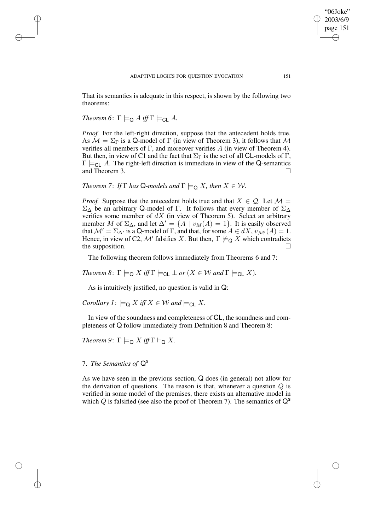That its semantics is adequate in this respect, is shown by the following two theorems:

*Theorem* 6:  $\Gamma \models_{\Omega} A$  *iff*  $\Gamma \models_{\Omega} A$ .

✐

✐

✐

✐

*Proof.* For the left-right direction, suppose that the antecedent holds true. As  $\mathcal{M} = \Sigma_{\Gamma}$  is a Q-model of  $\Gamma$  (in view of Theorem 3), it follows that  $\mathcal M$ verifies all members of Γ, and moreover verifies  $A$  (in view of Theorem 4). But then, in view of C1 and the fact that  $\Sigma_{\Gamma}$  is the set of all **CL**-models of  $\Gamma$ ,  $\Gamma \models_{\text{Cl}} A$ . The right-left direction is immediate in view of the Q-semantics and Theorem 3.

*Theorem* 7: *If*  $\Gamma$  *has*  $\mathbf{Q}$ *-models and*  $\Gamma \models_{\mathbf{Q}} X$ *, then*  $X \in \mathcal{W}$ *.* 

*Proof.* Suppose that the antecedent holds true and that  $X \in \mathcal{Q}$ . Let  $\mathcal{M} =$  $\Sigma_{\Delta}$  be an arbitrary Q-model of Γ. It follows that every member of  $\Sigma_{\Delta}$ verifies some member of  $dX$  (in view of Theorem 5). Select an arbitrary member M of  $\Sigma_{\Delta}$ , and let  $\Delta' = \{A \mid v_M(A) = 1\}$ . It is easily observed that  $\mathcal{M}' = \Sigma_{\Delta'}$  is a Q-model of  $\Gamma$ , and that, for some  $A \in dX$ ,  $v_{\mathcal{M}'}(A) = 1$ . Hence, in view of C2,  $\mathcal{M}'$  falsifies X. But then,  $\Gamma \not\models_{\mathsf{Q}} X$  which contradicts the supposition.

The following theorem follows immediately from Theorems 6 and 7:

*Theorem* 8:  $\Gamma \models_{\mathsf{Q}} X$  *iff*  $\Gamma \models_{\mathsf{CL}} \bot$  *or* ( $X \in \mathcal{W}$  *and*  $\Gamma \models_{\mathsf{CL}} X$ *).* 

As is intuitively justified, no question is valid in Q:

*Corollary*  $I: \models_{\mathsf{Q}} X$  *iff*  $X \in \mathcal{W}$  *and*  $\models_{\mathsf{CL}} X$ *.* 

In view of the soundness and completeness of CL, the soundness and completeness of Q follow immediately from Definition 8 and Theorem 8:

*Theorem* 9:  $\Gamma \models_{\mathsf{Q}} X$  *iff*  $\Gamma \vdash_{\mathsf{Q}} X$ *.* 

# 7. *The Semantics of* Q s

As we have seen in the previous section, Q does (in general) not allow for the derivation of questions. The reason is that, whenever a question  $Q$  is verified in some model of the premises, there exists an alternative model in which Q is falsified (see also the proof of Theorem 7). The semantics of  $Q^s$ 

"06Joke" 2003/6/9 page 151

✐

✐

✐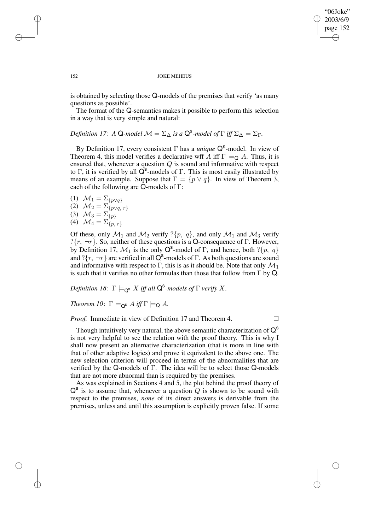✐

### 152 JOKE MEHEUS

is obtained by selecting those Q-models of the premises that verify 'as many questions as possible'.

The format of the Q-semantics makes it possible to perform this selection in a way that is very simple and natural:

*Definition* 17: *A* Q-*model*  $\mathcal{M} = \Sigma_{\Delta}$  *is a*  $\mathsf{Q}^{\mathsf{S}}$ -*model of*  $\Gamma$  *iff*  $\Sigma_{\Delta} = \Sigma_{\Gamma}$ .

By Definition 17, every consistent Γ has a *unique* Q<sup>s</sup>-model. In view of Theorem 4, this model verifies a declarative wff A iff  $\Gamma \models_{\Omega} A$ . Thus, it is ensured that, whenever a question  $Q$  is sound and informative with respect to Γ, it is verified by all  $\overrightarrow{Q}^s$ -models of Γ. This is most easily illustrated by means of an example. Suppose that  $\Gamma = \{p \lor q\}$ . In view of Theorem 3, each of the following are Q-models of Γ:

(1)  $\mathcal{M}_1 = \sum_{\{p \vee q\}}$ (2)  $\mathcal{M}_2 = \sum_{\{p \vee q, r\}}$ (3)  $\mathcal{M}_3 = \Sigma_{\{p\}}$ (4)  $\mathcal{M}_4 = \Sigma_{\{p, r\}}$ 

Of these, only  $\mathcal{M}_1$  and  $\mathcal{M}_2$  verify ?{ $p, q$ }, and only  $\mathcal{M}_1$  and  $\mathcal{M}_3$  verify ? $\{r, \neg r\}$ . So, neither of these questions is a Q-consequence of Γ. However, by Definition 17,  $\mathcal{M}_1$  is the only Q<sup>s</sup>-model of  $\Gamma$ , and hence, both ? $\{p, q\}$ and ? $\{r, \neg r\}$  are verified in all Q<sup>s</sup>-models of Γ. As both questions are sound and informative with respect to  $\Gamma$ , this is as it should be. Note that only  $\mathcal{M}_1$ is such that it verifies no other formulas than those that follow from  $\Gamma$  by Q.

 $\mathcal{D}$ *efinition* 18:  $\Gamma \models_{\mathsf{Q}^{\mathsf{S}}} X$  *iff all*  $\mathsf{Q}^{\mathsf{S}}$ *-models of*  $\Gamma$  *verify* X.

*Theorem 10*:  $\Gamma \models_{\mathsf{Q}^{\mathsf{s}}} A \text{ iff } \Gamma \models_{\mathsf{Q}} A$ .

*Proof.* Immediate in view of Definition 17 and Theorem 4.

Though intuitively very natural, the above semantic characterization of  $Q^s$ is not very helpful to see the relation with the proof theory. This is why I shall now present an alternative characterization (that is more in line with that of other adaptive logics) and prove it equivalent to the above one. The new selection criterion will proceed in terms of the abnormalities that are verified by the Q-models of Γ. The idea will be to select those Q-models that are not more abnormal than is required by the premises.

As was explained in Sections 4 and 5, the plot behind the proof theory of  $Q^s$  is to assume that, whenever a question Q is shown to be sound with respect to the premises, *none* of its direct answers is derivable from the premises, unless and until this assumption is explicitly proven false. If some

✐

✐

✐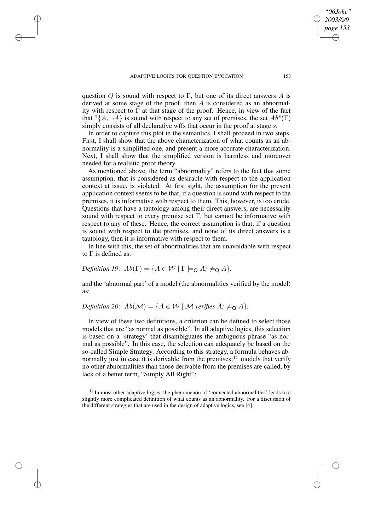✐

✐

✐

question Q is sound with respect to Γ, but one of its direct answers A is derived at some stage of the proof, then  $A$  is considered as an abnormality with respect to  $\Gamma$  at that stage of the proof. Hence, in view of the fact that  $?{A, \neg A}$  is sound with respect to any set of premises, the set  $Ab<sup>s</sup>(\Gamma)$ simply consists of all declarative wffs that occur in the proof at stage s.

In order to capture this plot in the semantics, I shall proceed in two steps. First, I shall show that the above characterization of what counts as an abnormality is a simplified one, and present a more accurate characterization. Next, I shall show that the simplified version is harmless and moreover needed for a realistic proof theory.

As mentioned above, the term "abnormality" refers to the fact that some assumption, that is considered as desirable with respect to the application context at issue, is violated. At first sight, the assumption for the present application context seems to be that, if a question is sound with respect to the premises, it is informative with respect to them. This, however, is too crude. Questions that have a tautology among their direct answers, are necessarily sound with respect to every premise set  $\Gamma$ , but cannot be informative with respect to any of these. Hence, the correct assumption is that, if a question is sound with respect to the premises, and none of its direct answers is a tautology, then it is informative with respect to them.

In line with this, the set of abnormalities that are unavoidable with respect to  $\Gamma$  is defined as:

*Definition* 19:  $Ab(\Gamma) = \{A \in \mathcal{W} \mid \Gamma \models_{\Omega} A; \nvDash_{\Omega} A\}.$ 

and the 'abnormal part' of a model (the abnormalities verified by the model) as:

# *Definition* 20:  $Ab(\mathcal{M}) = \{A \in \mathcal{W} \mid \mathcal{M} \text{ verifies } A; \nvDash_{\Omega} A\}.$

In view of these two definitions, a criterion can be defined to select those models that are "as normal as possible". In all adaptive logics, this selection is based on a 'strategy' that disambiguates the ambiguous phrase "as normal as possible". In this case, the selection can adequately be based on the so-called Simple Strategy. According to this strategy, a formula behaves abnormally just in case it is derivable from the premises;<sup>15</sup> models that verify no other abnormalities than those derivable from the premises are called, by lack of a better term, "Simply All Right":

<sup>15</sup> In most other adaptive logics, the phenomenon of 'connected abnormalities' leads to a slightly more complicated definition of what counts as an abnormality. For a discussion of the different strategies that are used in the design of adaptive logics, see [4].

*"06Joke" 2003/6/9 page 153*

✐

✐

✐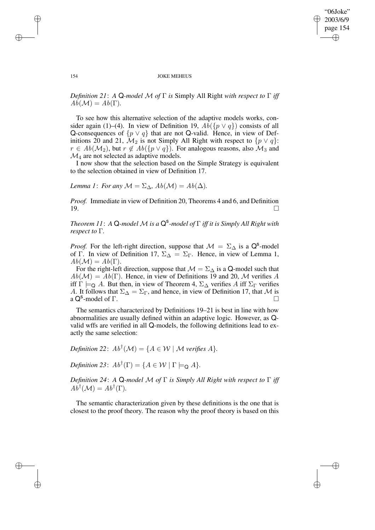✐

### 154 JOKE MEHEUS

*Definition 21*: *A* Q*-model* M *of* Γ *is* Simply All Right *with respect to* Γ *iff*  $Ab(\mathcal{M}) = Ab(\Gamma)$ .

To see how this alternative selection of the adaptive models works, consider again (1)–(4). In view of Definition 19,  $Ab({p \vee q})$  consists of all Q-consequences of  $\{p \lor q\}$  that are not Q-valid. Hence, in view of Definitions 20 and 21,  $\mathcal{M}_2$  is not Simply All Right with respect to  $\{p \lor q\}$ :  $r \in Ab(\mathcal{M}_2)$ , but  $r \notin Ab({p \lor q})$ . For analogous reasons, also  $\mathcal{M}_3$  and  $\mathcal{M}_4$  are not selected as adaptive models.

I now show that the selection based on the Simple Strategy is equivalent to the selection obtained in view of Definition 17.

*Lemma 1*: *For any*  $M = \Sigma_{\Delta}$ ,  $Ab(M) = Ab(\Delta)$ .

*Proof.* Immediate in view of Definition 20, Theorems 4 and 6, and Definition 19.

*Theorem 11*: *A* Q*-model* M *is a* Q s *-model of* Γ *iff it is Simply All Right with respect to* Γ*.*

*Proof.* For the left-right direction, suppose that  $\mathcal{M} = \Sigma_{\Delta}$  is a Q<sup>s</sup>-model of Γ. In view of Definition 17,  $\Sigma_{\Delta} = \Sigma_{\Gamma}$ . Hence, in view of Lemma 1,  $Ab(\mathcal{M})=Ab(\Gamma).$ 

For the right-left direction, suppose that  $M = \Sigma_{\Delta}$  is a Q-model such that  $Ab(\mathcal{M}) = Ab(\Gamma)$ . Hence, in view of Definitions 19 and 20, M verifies A iff  $\Gamma \models_{\mathsf{Q}} A$ . But then, in view of Theorem 4,  $\Sigma_{\Delta}$  verifies A iff  $\Sigma_{\Gamma}$  verifies A. It follows that  $\Sigma_{\Delta} = \Sigma_{\Gamma}$ , and hence, in view of Definition 17, that M is  $a \, \mathbf{Q}^{\mathbf{s}}$ -model of Γ.

The semantics characterized by Definitions 19–21 is best in line with how abnormalities are usually defined within an adaptive logic. However, as Qvalid wffs are verified in all Q-models, the following definitions lead to exactly the same selection:

*Definition* 22:  $Ab^{\dagger}(\mathcal{M}) = \{A \in \mathcal{W} \mid \mathcal{M} \text{ verifies } A\}.$ 

*Definition* 23:  $Ab^{\dagger}(\Gamma) = \{A \in \mathcal{W} \mid \Gamma \models_{\mathsf{Q}} A\}.$ 

*Definition 24*: *A* Q*-model* M *of* Γ *is Simply All Right with respect to* Γ *iff*  $Ab^{\dagger}(\mathcal{M}) = Ab^{\dagger}(\Gamma).$ 

The semantic characterization given by these definitions is the one that is closest to the proof theory. The reason why the proof theory is based on this

 $\rightarrow$ 

 $\rightarrow$ 

✐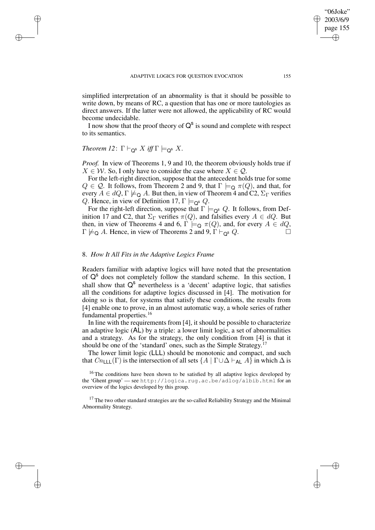simplified interpretation of an abnormality is that it should be possible to write down, by means of RC, a question that has one or more tautologies as direct answers. If the latter were not allowed, the applicability of RC would become undecidable.

I now show that the proof theory of  $Q^s$  is sound and complete with respect to its semantics.

# *Theorem 12*:  $\Gamma \vdash_{\mathsf{Q}^{\mathsf{s}}} X$  *iff*  $\Gamma \models_{\mathsf{Q}^{\mathsf{s}}} X$ .

 $\rightarrow$ 

 $\rightarrow$ 

✐

✐

*Proof.* In view of Theorems 1, 9 and 10, the theorem obviously holds true if  $X \in \mathcal{W}$ . So, I only have to consider the case where  $X \in \mathcal{Q}$ .

For the left-right direction, suppose that the antecedent holds true for some  $Q \in \mathcal{Q}$ . It follows, from Theorem 2 and 9, that  $\Gamma \models_{\mathsf{Q}} \pi(Q)$ , and that, for every  $A \in dQ$ ,  $\Gamma \not\models_{\mathsf{Q}} A$ . But then, in view of Theorem 4 and C2,  $\Sigma_{\Gamma}$  verifies Q. Hence, in view of Definition 17,  $\Gamma \models_{\mathsf{Q}^{\mathsf{s}}} Q$ .

For the right-left direction, suppose that  $\Gamma \models_{\mathsf{Q}^s} Q$ . It follows, from Definition 17 and C2, that  $\Sigma_{\Gamma}$  verifies  $\pi(Q)$ , and falsifies every  $A \in dQ$ . But then, in view of Theorems 4 and 6,  $\Gamma \models_Q \pi(Q)$ , and, for every  $A \in dQ$ ,  $\Gamma \not\models \sim A$ . Hence in view of Theorems 2 and 9,  $\Gamma \models_{\infty} Q$  $\Gamma \not\models_{\mathsf{Q}} A$ . Hence, in view of Theorems 2 and 9,  $\Gamma \vdash_{\mathsf{Q}^s} Q$ .

## 8. *How It All Fits in the Adaptive Logics Frame*

Readers familiar with adaptive logics will have noted that the presentation of Q<sup>s</sup> does not completely follow the standard scheme. In this section, I shall show that  $Q^s$  nevertheless is a 'decent' adaptive logic, that satisfies all the conditions for adaptive logics discussed in [4]. The motivation for doing so is that, for systems that satisfy these conditions, the results from [4] enable one to prove, in an almost automatic way, a whole series of rather fundamental properties.<sup>16</sup>

In line with the requirements from [4], it should be possible to characterize an adaptive logic (AL) by a triple: a lower limit logic, a set of abnormalities and a strategy. As for the strategy, the only condition from [4] is that it should be one of the 'standard' ones, such as the Simple Strategy.<sup>17</sup>

The lower limit logic (LLL) should be monotonic and compact, and such that  $Cn_{\text{LLL}}(\Gamma)$  is the intersection of all sets  $\{A \mid \Gamma \cup \Delta \vdash_{\text{AL}} A\}$  in which  $\Delta$  is

<sup>16</sup> The conditions have been shown to be satisfied by all adaptive logics developed by the 'Ghent group' — see http://logica.rug.ac.be/adlog/albib.html for an overview of the logics developed by this group.

<sup>17</sup> The two other standard strategies are the so-called Reliability Strategy and the Minimal Abnormality Strategy.

"06Joke" 2003/6/9 page 155

✐

✐

✐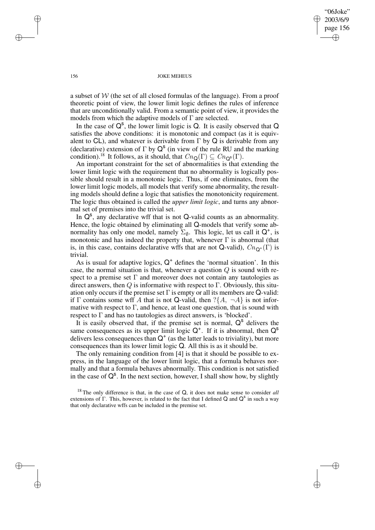"06Joke" 2003/6/9 page 156 ✐ ✐

✐

✐

### 156 JOKE MEHEUS

a subset of W (the set of all closed formulas of the language). From a proof theoretic point of view, the lower limit logic defines the rules of inference that are unconditionally valid. From a semantic point of view, it provides the models from which the adaptive models of  $\Gamma$  are selected.

In the case of  $Q^s$ , the lower limit logic is Q. It is easily observed that Q satisfies the above conditions: it is monotonic and compact (as it is equivalent to CL), and whatever is derivable from  $\Gamma$  by Q is derivable from any (declarative) extension of  $\Gamma$  by  $Q^s$  (in view of the rule RU and the marking condition).<sup>18</sup> It follows, as it should, that  $Cn_{\mathbf{Q}}(\Gamma) \subseteq Cn_{\mathbf{Q}^{\mathbf{s}}}(\Gamma)$ .

An important constraint for the set of abnormalities is that extending the lower limit logic with the requirement that no abnormality is logically possible should result in a monotonic logic. Thus, if one eliminates, from the lower limit logic models, all models that verify some abnormality, the resulting models should define a logic that satisfies the monotonicity requirement. The logic thus obtained is called the *upper limit logic*, and turns any abnormal set of premises into the trivial set.

In  $Q^s$ , any declarative wff that is not  $Q$ -valid counts as an abnormality. Hence, the logic obtained by eliminating all Q-models that verify some abnormality has only one model, namely  $\Sigma_{\emptyset}$ . This logic, let us call it  $Q^+$ , is monotonic and has indeed the property that, whenever  $\Gamma$  is abnormal (that is, in this case, contains declarative wffs that are not Q-valid),  $Cn_{\mathbf{Q}^+}(\Gamma)$  is trivial.

As is usual for adaptive logics,  $Q^+$  defines the 'normal situation'. In this case, the normal situation is that, whenever a question  $Q$  is sound with respect to a premise set  $\Gamma$  and moreover does not contain any tautologies as direct answers, then  $Q$  is informative with respect to  $\Gamma$ . Obviously, this situation only occurs if the premise set  $\Gamma$  is empty or all its members are Q-valid: if Γ contains some wff A that is not Q-valid, then  $\{A, \neg A\}$  is not informative with respect to  $\Gamma$ , and hence, at least one question, that is sound with respect to Γ and has no tautologies as direct answers, is 'blocked'.

It is easily observed that, if the premise set is normal,  $Q^s$  delivers the same consequences as its upper limit logic  $Q^+$ . If it is abnormal, then  $Q^s$ delivers less consequences than  $Q^+$  (as the latter leads to triviality), but more consequences than its lower limit logic Q. All this is as it should be.

The only remaining condition from [4] is that it should be possible to express, in the language of the lower limit logic, that a formula behaves normally and that a formula behaves abnormally. This condition is not satisfied in the case of  $Q^s$ . In the next section, however, I shall show how, by slightly

 $\rightarrow$ 

 $\rightarrow$ 

✐

<sup>18</sup> The only difference is that, in the case of Q, it does not make sense to consider *all* extensions of  $\Gamma$ . This, however, is related to the fact that I defined Q and  $Q^s$  in such a way that only declarative wffs can be included in the premise set.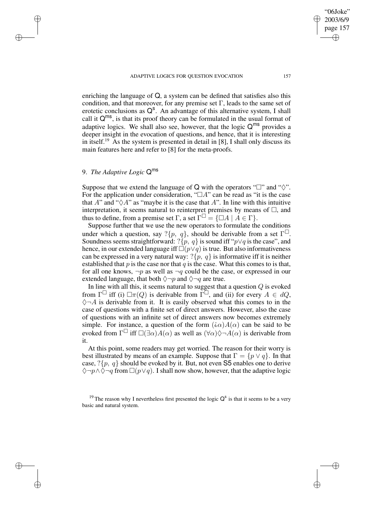### ADAPTIVE LOGICS FOR OUESTION EVOCATION 157

enriching the language of Q, a system can be defined that satisfies also this condition, and that moreover, for any premise set  $\Gamma$ , leads to the same set of erotetic conclusions as  $Q^s$ . An advantage of this alternative system, I shall call it  $Q^{ms}$ , is that its proof theory can be formulated in the usual format of adaptive logics. We shall also see, however, that the logic  $Q^{ms}$  provides a deeper insight in the evocation of questions, and hence, that it is interesting in itself.<sup>19</sup> As the system is presented in detail in [8], I shall only discuss its main features here and refer to [8] for the meta-proofs.

# 9. *The Adaptive Logic* Q ms

 $\rightarrow$ 

 $\rightarrow$ 

✐

✐

Suppose that we extend the language of Q with the operators " $\Box$ " and " $\Diamond$ ". For the application under consideration, " $\Box A$ " can be read as "it is the case that A" and " $\Diamond A$ " as "maybe it is the case that A". In line with this intuitive interpretation, it seems natural to reinterpret premises by means of  $\square$ , and thus to define, from a premise set  $\Gamma$ , a set  $\Gamma^{\square} = {\square}A \mid A \in \Gamma$ .

Suppose further that we use the new operators to formulate the conditions under which a question, say ? $\{p, q\}$ , should be derivable from a set  $\Gamma^{\square}$ . Soundness seems straightforward: ? $\{p, q\}$  is sound iff " $p \lor q$  is the case", and hence, in our extended language iff  $\Box(p\lor q)$  is true. But also informativeness can be expressed in a very natural way:  $?\{p, q\}$  is informative iff it is neither established that  $p$  is the case nor that  $q$  is the case. What this comes to is that, for all one knows,  $\neg p$  as well as  $\neg q$  could be the case, or expressed in our extended language, that both  $\Diamond \neg p$  and  $\Diamond \neg q$  are true.

In line with all this, it seems natural to suggest that a question  $Q$  is evoked from  $\Gamma^{\square}$  iff (i)  $\square \pi(Q)$  is derivable from  $\widetilde{\Gamma^{\square}}$ , and (ii) for every  $A \in dQ$ ,  $\diamondsuit \neg A$  is derivable from it. It is easily observed what this comes to in the case of questions with a finite set of direct answers. However, also the case of questions with an infinite set of direct answers now becomes extremely simple. For instance, a question of the form  $(i\alpha)A(\alpha)$  can be said to be evoked from  $\Gamma^{\square}$  iff  $\square(\exists \alpha)A(\alpha)$  as well as  $(\forall \alpha) \Diamond \neg A(\alpha)$  is derivable from it.

At this point, some readers may get worried. The reason for their worry is best illustrated by means of an example. Suppose that  $\Gamma = \{p \lor q\}$ . In that case,  $?\{p, q\}$  should be evoked by it. But, not even S5 enables one to derive  $\Diamond \neg p \land \Diamond \neg q$  from  $\Box (p \lor q)$ . I shall now show, however, that the adaptive logic ✐

"06Joke" 2003/6/9 page 157

✐

✐

<sup>&</sup>lt;sup>19</sup> The reason why I nevertheless first presented the logic  $Q^s$  is that it seems to be a very basic and natural system.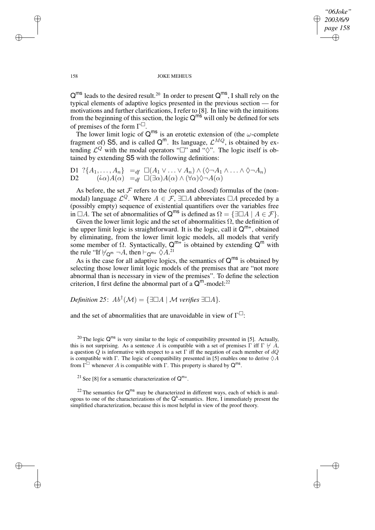*"06Joke" 2003/6/9 page 158* ✐ ✐

✐

✐

#### 158 JOKE MEHEUS

 $Q^{ms}$  leads to the desired result.<sup>20</sup> In order to present  $Q^{ms}$ , I shall rely on the typical elements of adaptive logics presented in the previous section — for motivations and further clarifications, I refer to [8]. In line with the intuitions from the beginning of this section, the logic  $Q^{m\tilde{s}}$  will only be defined for sets of premises of the form  $\Gamma^{\square}$ .

The lower limit logic of  $Q^{ms}$  is an erotetic extension of (the  $\omega$ -complete fragment of) S5, and is called  $Q^m$ . Its language,  $\mathcal{L}^{MQ}$ , is obtained by extending  $\mathcal{L}^Q$  with the modal operators " $\Box$ " and " $\Diamond$ ". The logic itself is obtained by extending S5 with the following definitions:

D1 
$$
\{A_1, ..., A_n\}
$$
 =<sub>df</sub>  $\Box(A_1 \lor ... \lor A_n) \land (\Diamond \neg A_1 \land ... \land \Diamond \neg A_n)$   
D2  $(i\alpha)A(\alpha) =_{df} \Box(\exists \alpha)A(\alpha) \land (\forall \alpha) \Diamond \neg A(\alpha)$ 

As before, the set  $\mathcal F$  refers to the (open and closed) formulas of the (nonmodal) language  $\mathcal{L}^Q$ . Where  $A \in \mathcal{F}$ ,  $\exists \Box A$  abbreviates  $\Box A$  preceded by a (possibly empty) sequence of existential quantifiers over the variables free in  $\Box A$ . The set of abnormalities of  $Q^{ms}$  is defined as  $\Omega = \{ \exists \Box A \mid A \in \mathcal{F} \}.$ 

Given the lower limit logic and the set of abnormalities  $\Omega$ , the definition of the upper limit logic is straightforward. It is the logic, call it  $Q^{m+}$ , obtained by eliminating, from the lower limit logic models, all models that verify some member of  $\Omega$ . Syntactically,  $Q^{m+}$  is obtained by extending  $Q^m$  with the rule "If  $\forall_{\mathsf{Q}^{\mathsf{m}}} \neg A$ , then  $\vdash_{\mathsf{Q}^{\mathsf{m}+}} \Diamond A$ .<sup>21</sup>

As is the case for all adaptive logics, the semantics of  $Q^{ms}$  is obtained by selecting those lower limit logic models of the premises that are "not more abnormal than is necessary in view of the premises". To define the selection criterion, I first define the abnormal part of a  $Q^m$ -model:<sup>22</sup>

*Definition* 25:  $Ab^{\dagger}(\mathcal{M}) = {\exists \Box A \mid \mathcal{M} \text{ verifies } \exists \Box A}.$ 

and the set of abnormalities that are unavoidable in view of  $\Gamma^{\Box}$ :

<sup>20</sup> The logic  $Q^{ms}$  is very similar to the logic of compatibility presented in [5]. Actually, this is not surprising. As a sentence A is compatible with a set of premises  $\Gamma$  iff  $\Gamma \not\vdash A$ , a question  $Q$  is informative with respect to a set  $\Gamma$  iff the negation of each member of  $dQ$ is compatible with Γ. The logic of compatibility presented in [5] enables one to derive  $\Diamond A$ from  $\overline{\Gamma}^{\square}$  whenever A is compatible with  $\Gamma$ . This property is shared by  $\mathsf{Q}^{\mathsf{ms}}$ .

<sup>21</sup> See [8] for a semantic characterization of  $Q^{m+}$ .

<sup>22</sup> The semantics for  $Q^{ms}$  may be characterized in different ways, each of which is analogous to one of the characterizations of the  $Q^s$ -semantics. Here, I immediately present the simplified characterization, because this is most helpful in view of the proof theory.

 $\rightarrow$ 

 $\rightarrow$ 

✐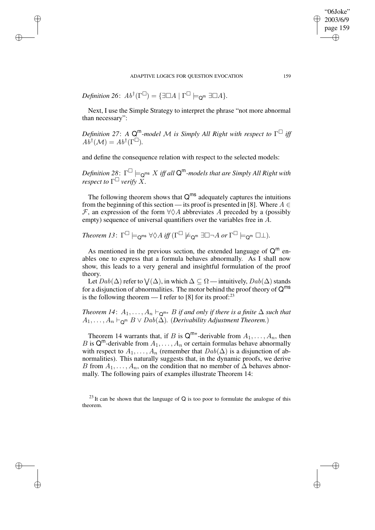ADAPTIVE LOGICS FOR OUESTION EVOCATION 159

 $Definition\ 26\colon \ Ab^\dagger(\Gamma^\square) = \{\exists \square A \mid \Gamma^\square \models_{\mathsf{Q}^{\mathsf{m}}} \exists \square A\}.$ 

 $\rightarrow$ 

 $\rightarrow$ 

✐

✐

Next, I use the Simple Strategy to interpret the phrase "not more abnormal than necessary":

*Definition 27*: *A* Q <sup>m</sup>*-model* M *is Simply All Right with respect to* Γ *iff*  $A\ddot{b}^{\dagger}(\mathcal{M}) = A b^{\dagger}(\Gamma^{\square}).$ 

and define the consequence relation with respect to the selected models:

 $D$ efinition 28:  $\ \Gamma^\square \models_{\mathsf{Q}^{\mathsf{m}\mathsf{s}}} X$  iff all  $\mathsf{Q}^\mathsf{m}\text{-models}$  that are Simply All Right with *respect to*  $\Gamma^{\square}$  *verify*  $\widetilde{X}$ *.* 

The following theorem shows that  $Q^{ms}$  adequately captures the intuitions from the beginning of this section — its proof is presented in [8]. Where  $A \in$ F, an expression of the form  $\forall \Diamond A$  abbreviates A preceded by a (possibly empty) sequence of universal quantifiers over the variables free in A.

$$
\textit{Theorem 13}: \ \Gamma^\square \models_{\mathsf{Q}^{\mathsf{ms}}}\forall \Diamond A\ \textit{iff} \ (\Gamma^\square \not\models_{\mathsf{Q}^{\mathsf{m}}} \exists \square \neg A\ \textit{or} \ \Gamma^\square \models_{\mathsf{Q}^{\mathsf{m}}} \square \bot).
$$

As mentioned in the previous section, the extended language of  $Q^m$  enables one to express that a formula behaves abnormally. As I shall now show, this leads to a very general and insightful formulation of the proof theory.

Let  $Dab(\Delta)$  refer to  $\bigvee(\Delta)$ , in which  $\Delta \subseteq \Omega$  — intuitively,  $Dab(\Delta)$  stands for a disjunction of abnormalities. The motor behind the proof theory of  $Q^{ms}$ is the following theorem — I refer to [8] for its proof:<sup>23</sup>

*Theorem 14:*  $A_1, \ldots, A_n \vdash_{\mathsf{Q}^{m+}} B$  *if and only if there is a finite*  $\Delta$  *such that*  $A_1, \ldots, A_n \vdash_{\mathsf{Q}^m} B \vee \mathit{Dab}(\mathsf{\Delta})$ . (*Derivability Adjustment Theorem.*)

Theorem 14 warrants that, if B is  $Q^{m+}$ -derivable from  $A_1, \ldots, A_n$ , then B is  $Q^m$ -derivable from  $A_1, \ldots, A_n$  or certain formulas behave abnormally with respect to  $A_1, \ldots, A_n$  (remember that  $Dab(\Delta)$  is a disjunction of abnormalities). This naturally suggests that, in the dynamic proofs, we derive B from  $A_1, \ldots, A_n$ , on the condition that no member of  $\Delta$  behaves abnormally. The following pairs of examples illustrate Theorem 14:

 $^{23}$  It can be shown that the language of Q is too poor to formulate the analogue of this theorem.

"06Joke" 2003/6/9 page 159

✐

✐

✐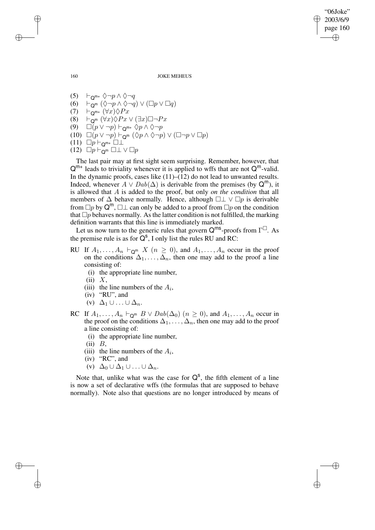160 JOKE MEHEUS

"06Joke" 2003/6/9 page 160

✐

✐

✐

✐

(5)  $\vdash_{\mathsf{Q}^{m+}} \Diamond \neg p \land \Diamond \neg q$ (6)  $\vdash_{\mathsf{Q}^{\mathsf{m}}} (\Diamond \neg p \land \Diamond \neg q) \lor (\Box p \lor \Box q)$ (7)  $\vdash_{\mathsf{Q}^{\mathsf{m}\text{-}}}\ (\forall x)\Diamond Px$ (8)  $\vdash_{\mathsf{Q}^{\mathsf{m}}} (\forall x) \Diamond Px \lor (\exists x) \Box \neg Px$ (9)  $\Box(p \vee \neg p) \vdash_{\mathbf{Q}^{m+}} \Diamond p \wedge \Diamond \neg p$ (10)  $\Box(p \vee \neg p) \vdash_{\mathsf{Q}^{\mathsf{m}}} (\Diamond p \land \Diamond \neg p) \vee (\Box \neg p \vee \Box p)$  $(11)$   $\Box p \vdash_{\mathsf{Q}^{m+}} \Box \bot$ (12)  $\Box p \vdash_{\mathsf{Q}^{\mathsf{m}}} \Box \bot \lor \Box p$ 

The last pair may at first sight seem surprising. Remember, however, that  $Q^{m+}$  leads to triviality whenever it is applied to wffs that are not  $Q^m$ -valid. In the dynamic proofs, cases like  $(11)$ – $(12)$  do not lead to unwanted results. Indeed, whenever  $A \vee Dab(\Delta)$  is derivable from the premises (by  $Q^m$ ), it is allowed that A is added to the proof, but only *on the condition* that all members of  $\Delta$  behave normally. Hence, although  $\Box \bot \lor \Box p$  is derivable from  $\Box p$  by  $\mathsf{Q}^{\mathsf{m}}$ ,  $\Box \bot$  can only be added to a proof from  $\Box p$  on the condition that  $\Box p$  behaves normally. As the latter condition is not fulfilled, the marking definition warrants that this line is immediately marked.

Let us now turn to the generic rules that govern  $Q^{ms}$ -proofs from  $\Gamma^{\Box}$ . As the premise rule is as for  $\overline{Q}^s$ , I only list the rules RU and RC:

- RU If  $A_1, \ldots, A_n \vdash_{\mathsf{Q}^m} X$  ( $n \geq 0$ ), and  $A_1, \ldots, A_n$  occur in the proof on the conditions  $\Delta_1, \ldots, \Delta_n$ , then one may add to the proof a line consisting of:
	- (i) the appropriate line number,
	- $(ii) X,$
	- (iii) the line numbers of the  $A_i$ ,
	- (iv) "RU", and
	- (v)  $\Delta_1 \cup ... \cup \Delta_n$ .
- RC If  $A_1, \ldots, A_n \vdash_{\mathsf{Q}^m} B \vee \mathit{Dab}(\Delta_0)$   $(n \geq 0)$ , and  $A_1, \ldots, A_n$  occur in the proof on the conditions  $\Delta_1, \ldots, \Delta_n$ , then one may add to the proof a line consisting of:
	- (i) the appropriate line number,
	- $(ii)$   $B$ ,
	- (iii) the line numbers of the  $A_i$ ,
	- (iv) "RC", and
	- (v)  $\Delta_0 \cup \Delta_1 \cup \ldots \cup \Delta_n$ .

Note that, unlike what was the case for  $Q^s$ , the fifth element of a line is now a set of declarative wffs (the formulas that are supposed to behave normally). Note also that questions are no longer introduced by means of

 $\rightarrow$ 

 $\rightarrow$ 

✐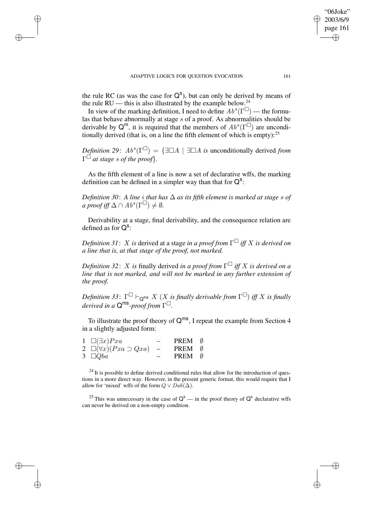$\rightarrow$ 

✐

✐

✐

"06Joke" 2003/6/9 page 161

✐

✐

✐

✐

the rule RC (as was the case for  $Q^s$ ), but can only be derived by means of the rule RU — this is also illustrated by the example below.<sup>24</sup>

In view of the marking definition, I need to define  $Ab^s(\Gamma^{\square})$  — the formulas that behave abnormally at stage s of a proof. As abnormalities should be derivable by  $Q^m$ , it is required that the members of  $Ab^s(\Gamma^{\square})$  are unconditionally derived (that is, on a line the fifth element of which is empty):  $25$ 

*Definition* 29:  $Ab^s(\Gamma^{\square}) = {\exists \square A \mid \exists \square A \text{ is unconditionally derived from}}$ Γ *at stage* s *of the proof*}*.*

As the fifth element of a line is now a set of declarative wffs, the marking definition can be defined in a simpler way than that for  $Q^s$ :

*Definition 30*: *A line* i *that has* ∆ *as its fifth element is marked at stage* s *of*  $a \text{ proof iff } \Delta \cap Ab^s(\Gamma^{\square}) \neq \emptyset.$ 

Derivability at a stage, final derivability, and the consequence relation are defined as for  $Q^s$ :

*Definition 31*: X *is* derived at a stage *in a proof from* Γ *iff* X *is derived on a line that is, at that stage of the proof, not marked.*

*Definition* 32: X *is* finally derived *in a proof from*  $\Gamma^{\square}$  *iff* X *is derived on a line that is not marked, and will not be marked in any further extension of the proof.*

 $D$ efinition 33:  $\Gamma^\square \vdash_{\mathsf{Q}^{\mathsf{ms}}} X$   $(X$  is finally derivable from  $\Gamma^\square$ ) iff  $X$  is finally *derived in a* Q ms *-proof from* Γ *.*

To illustrate the proof theory of  $Q^{ms}$ , I repeat the example from Section 4 in a slightly adjusted form:

| $1 \Box (\exists x)Pxa$              | PREM 0 |  |
|--------------------------------------|--------|--|
| 2 $\Box(\forall x)(Pxa \supset Qxa)$ | PREM 0 |  |
| 3 $\Box Qba$                         | PREM 0 |  |

 $^{24}$  It is possible to define derived conditional rules that allow for the introduction of questions in a more direct way. However, in the present generic format, this would require that I allow for 'mixed' wffs of the form  $Q \vee Da\overline{b}(\Delta)$ .

<sup>25</sup> This was unnecessary in the case of  $Q^s$  — in the proof theory of  $Q^s$  declarative wffs can never be derived on a non-empty condition.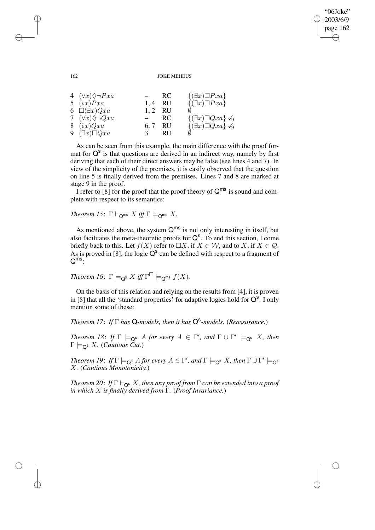✐

### 162 JOKE MEHEUS

| 4 $(\forall x) \Diamond \neg Pxa$ |               | -RC       | $\{\exists x)\Box Pxa\}$                |
|-----------------------------------|---------------|-----------|-----------------------------------------|
| 5 $(ix)Pxa$                       | 1, 4          | <b>RU</b> | $\{\exists x)\Box Pxa\}$                |
| 6 $\square(\exists x)Qxa$         | 1, 2 RU       |           |                                         |
| 7 $(\forall x) \Diamond \neg Qxa$ | $ -$          | RC        | $\{\exists x \} \Box Q xa\} \checkmark$ |
| 8 $(ix)Qxa$                       | 6, 7          | RU        | $\{\exists x \} \Box Qxa\} \checkmark$  |
| 9 $(\exists x)\Box Qxa$           | $\mathcal{F}$ | <b>RU</b> |                                         |

As can be seen from this example, the main difference with the proof format for  $Q^s$  is that questions are derived in an indirect way, namely by first deriving that each of their direct answers may be false (see lines 4 and 7). In view of the simplicity of the premises, it is easily observed that the question on line 5 is finally derived from the premises. Lines 7 and 8 are marked at stage 9 in the proof.

I refer to [8] for the proof that the proof theory of  $Q^{ms}$  is sound and complete with respect to its semantics:

*Theorem 15*:  $\Gamma \vdash_{\mathsf{Q}^{\mathsf{ms}}} X$  *iff*  $\Gamma \models_{\mathsf{Q}^{\mathsf{ms}}} X$ .

As mentioned above, the system  $Q^{ms}$  is not only interesting in itself, but also facilitates the meta-theoretic proofs for  $Q^s$ . To end this section, I come briefly back to this. Let  $f(X)$  refer to  $\Box X$ , if  $X \in \mathcal{W}$ , and to X, if  $X \in \mathcal{Q}$ . As is proved in [8], the logic  $Q^s$  can be defined with respect to a fragment of  $Q^{ms}$ :

*Theorem 16*:  $\Gamma \models_{\mathsf{Q}^{\mathsf{s}}} X$  *iff*  $\Gamma^{\square} \models_{\mathsf{Q}^{\mathsf{ms}}} f(X)$ *.* 

On the basis of this relation and relying on the results from [4], it is proven in [8] that all the 'standard properties' for adaptive logics hold for  $Q^s$ . I only mention some of these:

*Theorem 17*: *If* Γ *has* Q*-models, then it has* Q s *-models.* (*Reassurance.*)

*Theorem 18: If*  $\Gamma \models_{\mathsf{Q}^s} A$  *for every*  $A \in \Gamma'$ *, and*  $\Gamma \cup \Gamma' \models_{\mathsf{Q}^s} X$ *, then*  $\Gamma \models_{\mathsf{Q}^{\mathsf{s}}} X$ *.* (*Cautious Cut.*)

*Theorem 19: If*  $\Gamma \models_{Q^S} A$  *for every*  $A \in \Gamma'$ *, and*  $\Gamma \models_{Q^S} X$ *, then*  $\Gamma \cup \Gamma' \models_{Q^S} A$ X*.* (*Cautious Monotonicity.*)

*Theorem 20*: *If* Γ `<sup>Q</sup> <sup>s</sup> X*, then any proof from* Γ *can be extended into a proof in which* X *is finally derived from* Γ*.* (*Proof Invariance.*)

✐

✐

✐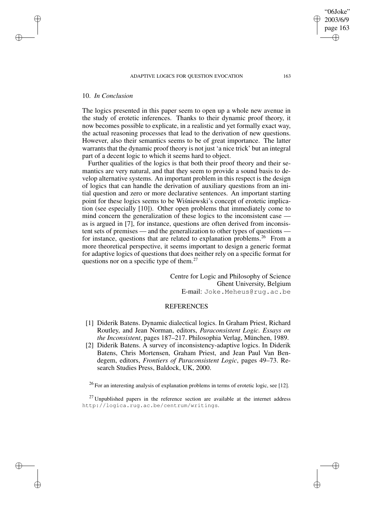### ADAPTIVE LOGICS FOR OUESTION EVOCATION 163

## 10. *In Conclusion*

✐

✐

✐

✐

The logics presented in this paper seem to open up a whole new avenue in the study of erotetic inferences. Thanks to their dynamic proof theory, it now becomes possible to explicate, in a realistic and yet formally exact way, the actual reasoning processes that lead to the derivation of new questions. However, also their semantics seems to be of great importance. The latter warrants that the dynamic proof theory is not just 'a nice trick' but an integral part of a decent logic to which it seems hard to object.

Further qualities of the logics is that both their proof theory and their semantics are very natural, and that they seem to provide a sound basis to develop alternative systems. An important problem in this respect is the design of logics that can handle the derivation of auxiliary questions from an initial question and zero or more declarative sentences. An important starting point for these logics seems to be Wisniewski's concept of erotetic implication (see especially [10]). Other open problems that immediately come to mind concern the generalization of these logics to the inconsistent case as is argued in [7], for instance, questions are often derived from inconsistent sets of premises — and the generalization to other types of questions for instance, questions that are related to explanation problems.<sup>26</sup> From a more theoretical perspective, it seems important to design a generic format for adaptive logics of questions that does neither rely on a specific format for questions nor on a specific type of them.<sup>27</sup>

> Centre for Logic and Philosophy of Science Ghent University, Belgium E-mail: Joke.Meheus@rug.ac.be

# **REFERENCES**

- [1] Diderik Batens. Dynamic dialectical logics. In Graham Priest, Richard Routley, and Jean Norman, editors, *Paraconsistent Logic. Essays on the Inconsistent*, pages 187–217. Philosophia Verlag, München, 1989.
- [2] Diderik Batens. A survey of inconsistency-adaptive logics. In Diderik Batens, Chris Mortensen, Graham Priest, and Jean Paul Van Bendegem, editors, *Frontiers of Paraconsistent Logic*, pages 49–73. Research Studies Press, Baldock, UK, 2000.

<sup>26</sup> For an interesting analysis of explanation problems in terms of erotetic logic, see [12].

 $27$  Unpublished papers in the reference section are available at the internet address http://logica.rug.ac.be/centrum/writings.

"06Joke" 2003/6/9 page 163

✐

✐

✐